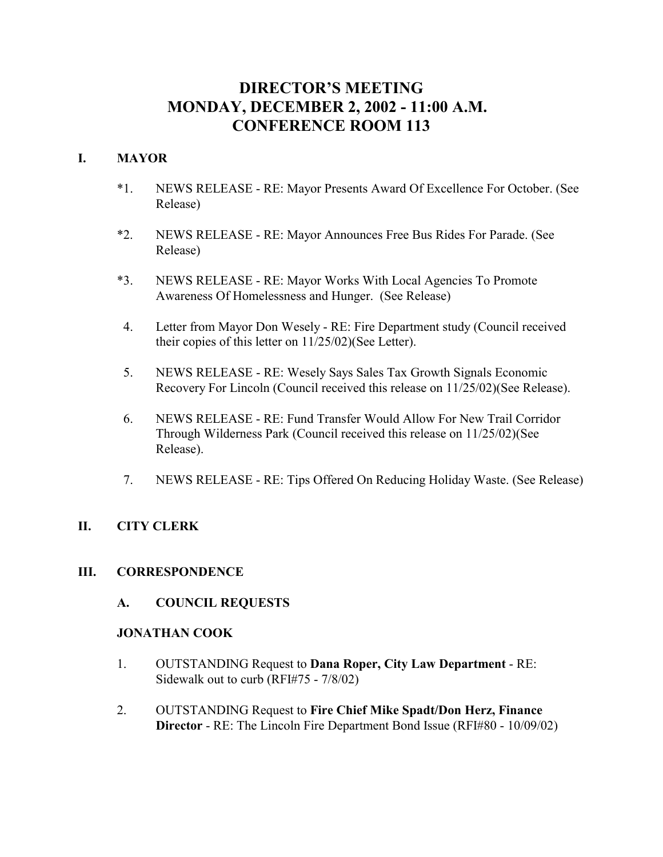## **DIRECTOR'S MEETING MONDAY, DECEMBER 2, 2002 - 11:00 A.M. CONFERENCE ROOM 113**

## **I. MAYOR**

- \*1. NEWS RELEASE RE: Mayor Presents Award Of Excellence For October. (See Release)
- \*2. NEWS RELEASE RE: Mayor Announces Free Bus Rides For Parade. (See Release)
- \*3. NEWS RELEASE RE: Mayor Works With Local Agencies To Promote Awareness Of Homelessness and Hunger. (See Release)
- 4. Letter from Mayor Don Wesely RE: Fire Department study (Council received their copies of this letter on 11/25/02)(See Letter).
- 5. NEWS RELEASE RE: Wesely Says Sales Tax Growth Signals Economic Recovery For Lincoln (Council received this release on 11/25/02)(See Release).
- 6. NEWS RELEASE RE: Fund Transfer Would Allow For New Trail Corridor Through Wilderness Park (Council received this release on 11/25/02)(See Release).
- 7. NEWS RELEASE RE: Tips Offered On Reducing Holiday Waste. (See Release)

## **II. CITY CLERK**

## **III. CORRESPONDENCE**

**A. COUNCIL REQUESTS**

#### **JONATHAN COOK**

- 1. OUTSTANDING Request to **Dana Roper, City Law Department** RE: Sidewalk out to curb (RFI#75 - 7/8/02)
- 2. OUTSTANDING Request to **Fire Chief Mike Spadt/Don Herz, Finance Director** - RE: The Lincoln Fire Department Bond Issue (RFI#80 - 10/09/02)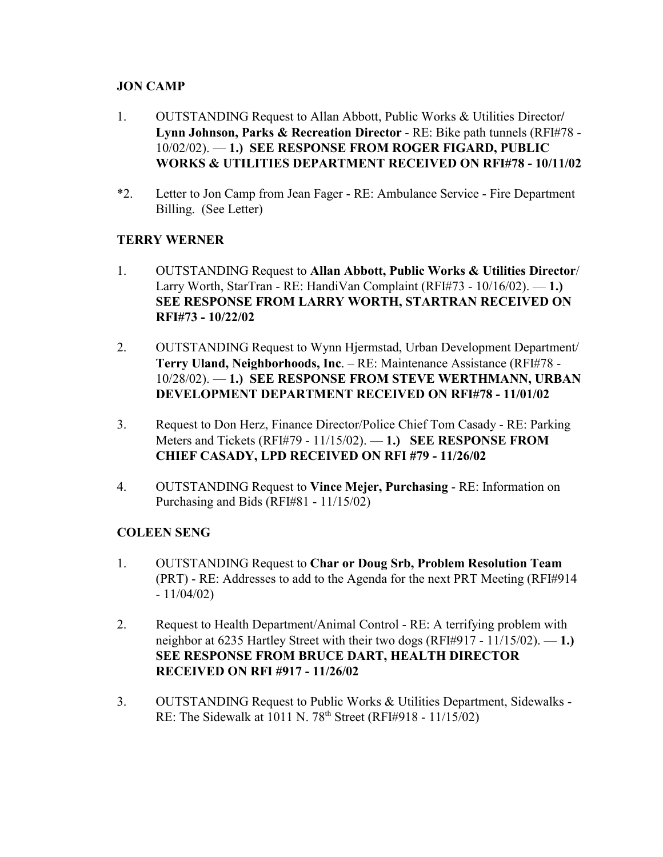## **JON CAMP**

- 1. OUTSTANDING Request to Allan Abbott, Public Works & Utilities Director**/ Lynn Johnson, Parks & Recreation Director** - RE: Bike path tunnels (RFI#78 - 10/02/02). — **1.) SEE RESPONSE FROM ROGER FIGARD, PUBLIC WORKS & UTILITIES DEPARTMENT RECEIVED ON RFI#78 - 10/11/02**
- \*2. Letter to Jon Camp from Jean Fager RE: Ambulance Service Fire Department Billing. (See Letter)

## **TERRY WERNER**

- 1. OUTSTANDING Request to **Allan Abbott, Public Works & Utilities Director**/ Larry Worth, StarTran - RE: HandiVan Complaint (RFI#73 - 10/16/02). — **1.) SEE RESPONSE FROM LARRY WORTH, STARTRAN RECEIVED ON RFI#73 - 10/22/02**
- 2. OUTSTANDING Request to Wynn Hjermstad, Urban Development Department/ **Terry Uland, Neighborhoods, Inc**. – RE: Maintenance Assistance (RFI#78 - 10/28/02). — **1.) SEE RESPONSE FROM STEVE WERTHMANN, URBAN DEVELOPMENT DEPARTMENT RECEIVED ON RFI#78 - 11/01/02**
- 3. Request to Don Herz, Finance Director/Police Chief Tom Casady RE: Parking Meters and Tickets (RFI#79 - 11/15/02). — **1.) SEE RESPONSE FROM CHIEF CASADY, LPD RECEIVED ON RFI #79 - 11/26/02**
- 4. OUTSTANDING Request to **Vince Mejer, Purchasing** RE: Information on Purchasing and Bids (RFI#81 - 11/15/02)

## **COLEEN SENG**

- 1. OUTSTANDING Request to **Char or Doug Srb, Problem Resolution Team** (PRT) - RE: Addresses to add to the Agenda for the next PRT Meeting (RFI#914  $-11/04/02$
- 2. Request to Health Department/Animal Control RE: A terrifying problem with neighbor at 6235 Hartley Street with their two dogs (RFI#917 - 11/15/02). — **1.) SEE RESPONSE FROM BRUCE DART, HEALTH DIRECTOR RECEIVED ON RFI #917 - 11/26/02**
- 3. OUTSTANDING Request to Public Works & Utilities Department, Sidewalks RE: The Sidewalk at  $1011$  N. 78<sup>th</sup> Street (RFI#918 - 11/15/02)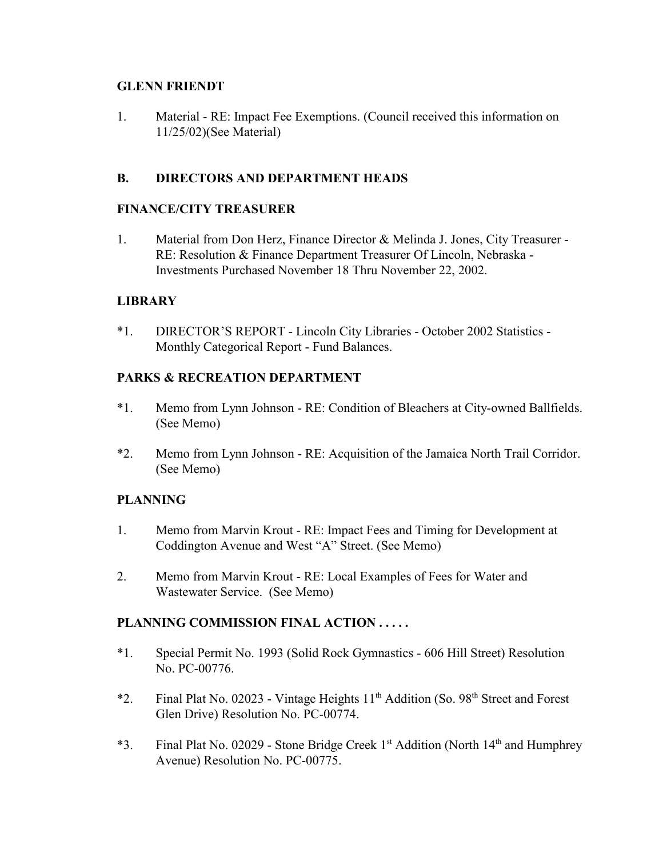## **GLENN FRIENDT**

1. Material - RE: Impact Fee Exemptions. (Council received this information on 11/25/02)(See Material)

## **B. DIRECTORS AND DEPARTMENT HEADS**

## **FINANCE/CITY TREASURER**

1. Material from Don Herz, Finance Director & Melinda J. Jones, City Treasurer - RE: Resolution & Finance Department Treasurer Of Lincoln, Nebraska - Investments Purchased November 18 Thru November 22, 2002.

## **LIBRARY**

\*1. DIRECTOR'S REPORT - Lincoln City Libraries - October 2002 Statistics - Monthly Categorical Report - Fund Balances.

## **PARKS & RECREATION DEPARTMENT**

- \*1. Memo from Lynn Johnson RE: Condition of Bleachers at City-owned Ballfields. (See Memo)
- \*2. Memo from Lynn Johnson RE: Acquisition of the Jamaica North Trail Corridor. (See Memo)

## **PLANNING**

- 1. Memo from Marvin Krout RE: Impact Fees and Timing for Development at Coddington Avenue and West "A" Street. (See Memo)
- 2. Memo from Marvin Krout RE: Local Examples of Fees for Water and Wastewater Service. (See Memo)

## **PLANNING COMMISSION FINAL ACTION . . . . .**

- \*1. Special Permit No. 1993 (Solid Rock Gymnastics 606 Hill Street) Resolution No. PC-00776.
- \*2. Final Plat No. 02023 Vintage Heights  $11<sup>th</sup>$  Addition (So. 98<sup>th</sup> Street and Forest Glen Drive) Resolution No. PC-00774.
- \*3. Final Plat No. 02029 Stone Bridge Creek 1st Addition (North 14th and Humphrey Avenue) Resolution No. PC-00775.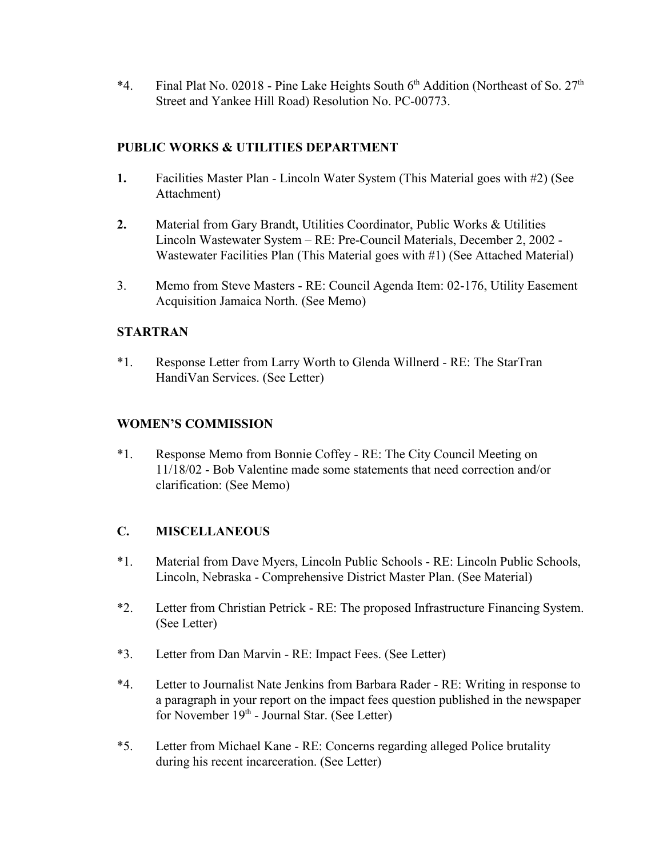\*4. Final Plat No. 02018 - Pine Lake Heights South  $6<sup>th</sup>$  Addition (Northeast of So. 27<sup>th</sup>) Street and Yankee Hill Road) Resolution No. PC-00773.

## **PUBLIC WORKS & UTILITIES DEPARTMENT**

- **1.** Facilities Master Plan Lincoln Water System (This Material goes with #2) (See Attachment)
- **2.** Material from Gary Brandt, Utilities Coordinator, Public Works & Utilities Lincoln Wastewater System – RE: Pre-Council Materials, December 2, 2002 - Wastewater Facilities Plan (This Material goes with #1) (See Attached Material)
- 3. Memo from Steve Masters RE: Council Agenda Item: 02-176, Utility Easement Acquisition Jamaica North. (See Memo)

## **STARTRAN**

\*1. Response Letter from Larry Worth to Glenda Willnerd - RE: The StarTran HandiVan Services. (See Letter)

## **WOMEN'S COMMISSION**

\*1. Response Memo from Bonnie Coffey - RE: The City Council Meeting on 11/18/02 - Bob Valentine made some statements that need correction and/or clarification: (See Memo)

## **C. MISCELLANEOUS**

- \*1. Material from Dave Myers, Lincoln Public Schools RE: Lincoln Public Schools, Lincoln, Nebraska - Comprehensive District Master Plan. (See Material)
- \*2. Letter from Christian Petrick RE: The proposed Infrastructure Financing System. (See Letter)
- \*3. Letter from Dan Marvin RE: Impact Fees. (See Letter)
- \*4. Letter to Journalist Nate Jenkins from Barbara Rader RE: Writing in response to a paragraph in your report on the impact fees question published in the newspaper for November 19<sup>th</sup> - Journal Star. (See Letter)
- \*5. Letter from Michael Kane RE: Concerns regarding alleged Police brutality during his recent incarceration. (See Letter)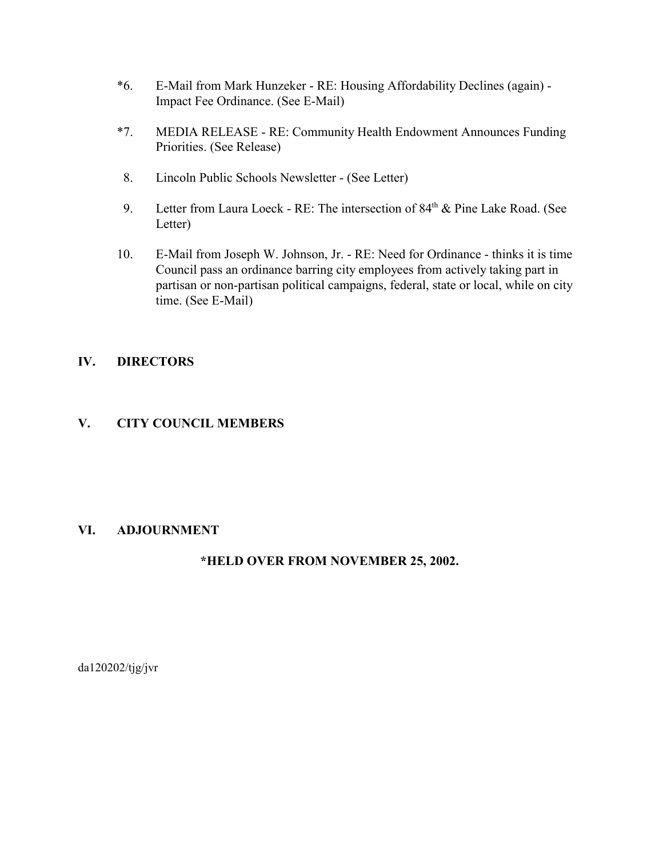- \*6. E-Mail from Mark Hunzeker RE: Housing Affordability Declines (again) Impact Fee Ordinance. (See E-Mail)
- \*7. MEDIA RELEASE RE: Community Health Endowment Announces Funding Priorities. (See Release)
- 8. Lincoln Public Schools Newsletter (See Letter)
- 9. Letter from Laura Loeck RE: The intersection of  $84<sup>th</sup>$  & Pine Lake Road. (See Letter)
- 10. E-Mail from Joseph W. Johnson, Jr. RE: Need for Ordinance thinks it is time Council pass an ordinance barring city employees from actively taking part in partisan or non-partisan political campaigns, federal, state or local, while on city time. (See E-Mail)

## **IV. DIRECTORS**

## **V. CITY COUNCIL MEMBERS**

## **VI. ADJOURNMENT**

## **\*HELD OVER FROM NOVEMBER 25, 2002.**

da120202/tjg/jvr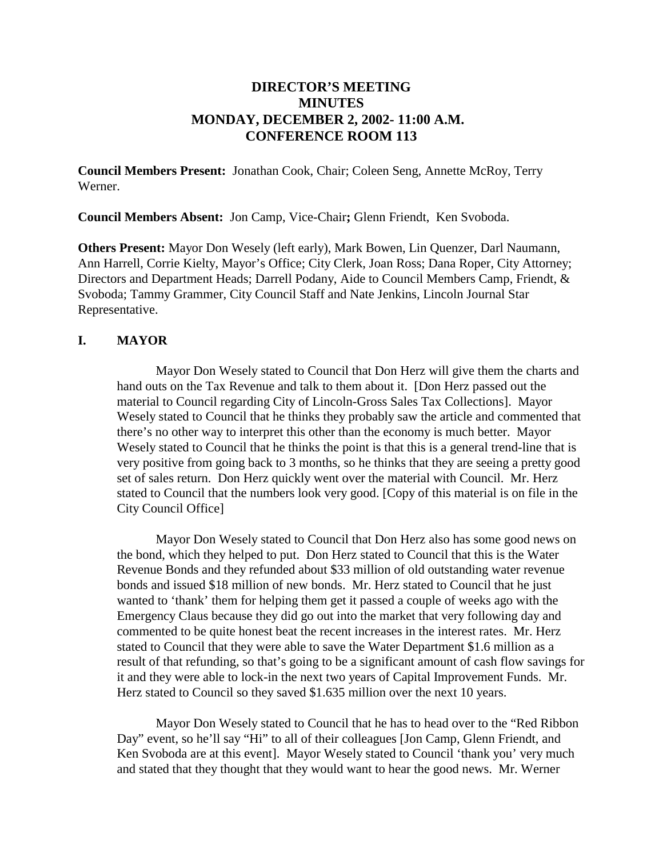## **DIRECTOR'S MEETING MINUTES MONDAY, DECEMBER 2, 2002- 11:00 A.M. CONFERENCE ROOM 113**

**Council Members Present:** Jonathan Cook, Chair; Coleen Seng, Annette McRoy, Terry Werner.

**Council Members Absent:** Jon Camp, Vice-Chair**;** Glenn Friendt, Ken Svoboda.

**Others Present:** Mayor Don Wesely (left early), Mark Bowen, Lin Quenzer, Darl Naumann, Ann Harrell, Corrie Kielty, Mayor's Office; City Clerk, Joan Ross; Dana Roper, City Attorney; Directors and Department Heads; Darrell Podany, Aide to Council Members Camp, Friendt, & Svoboda; Tammy Grammer, City Council Staff and Nate Jenkins, Lincoln Journal Star Representative.

## **I. MAYOR**

Mayor Don Wesely stated to Council that Don Herz will give them the charts and hand outs on the Tax Revenue and talk to them about it. [Don Herz passed out the material to Council regarding City of Lincoln-Gross Sales Tax Collections]. Mayor Wesely stated to Council that he thinks they probably saw the article and commented that there's no other way to interpret this other than the economy is much better. Mayor Wesely stated to Council that he thinks the point is that this is a general trend-line that is very positive from going back to 3 months, so he thinks that they are seeing a pretty good set of sales return. Don Herz quickly went over the material with Council. Mr. Herz stated to Council that the numbers look very good. [Copy of this material is on file in the City Council Office]

Mayor Don Wesely stated to Council that Don Herz also has some good news on the bond, which they helped to put. Don Herz stated to Council that this is the Water Revenue Bonds and they refunded about \$33 million of old outstanding water revenue bonds and issued \$18 million of new bonds. Mr. Herz stated to Council that he just wanted to 'thank' them for helping them get it passed a couple of weeks ago with the Emergency Claus because they did go out into the market that very following day and commented to be quite honest beat the recent increases in the interest rates. Mr. Herz stated to Council that they were able to save the Water Department \$1.6 million as a result of that refunding, so that's going to be a significant amount of cash flow savings for it and they were able to lock-in the next two years of Capital Improvement Funds. Mr. Herz stated to Council so they saved \$1.635 million over the next 10 years.

Mayor Don Wesely stated to Council that he has to head over to the "Red Ribbon Day" event, so he'll say "Hi" to all of their colleagues [Jon Camp, Glenn Friendt, and Ken Svoboda are at this event]. Mayor Wesely stated to Council 'thank you' very much and stated that they thought that they would want to hear the good news. Mr. Werner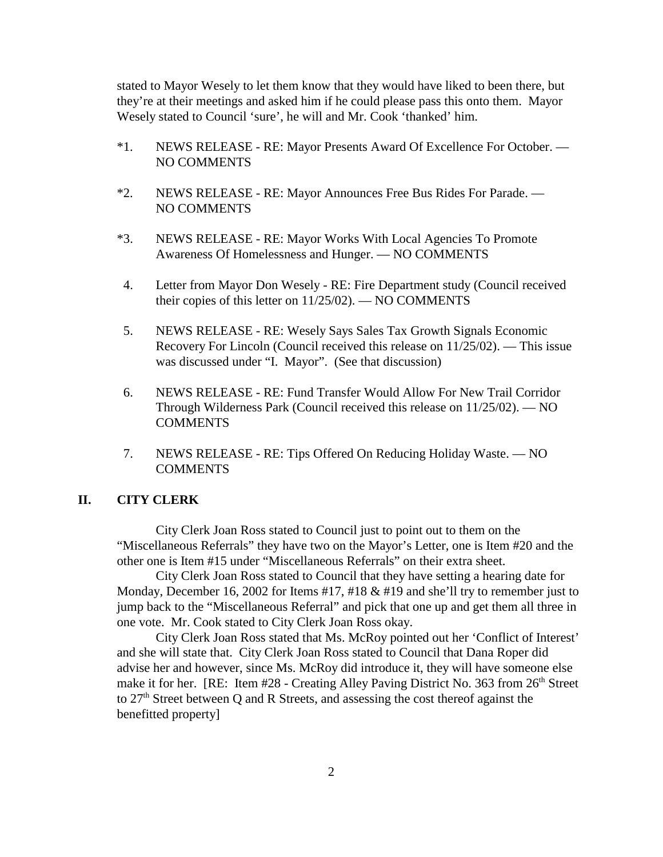stated to Mayor Wesely to let them know that they would have liked to been there, but they're at their meetings and asked him if he could please pass this onto them. Mayor Wesely stated to Council 'sure', he will and Mr. Cook 'thanked' him.

- \*1. NEWS RELEASE RE: Mayor Presents Award Of Excellence For October. NO COMMENTS
- \*2. NEWS RELEASE RE: Mayor Announces Free Bus Rides For Parade. NO COMMENTS
- \*3. NEWS RELEASE RE: Mayor Works With Local Agencies To Promote Awareness Of Homelessness and Hunger. — NO COMMENTS
- 4. Letter from Mayor Don Wesely RE: Fire Department study (Council received their copies of this letter on 11/25/02). — NO COMMENTS
- 5. NEWS RELEASE RE: Wesely Says Sales Tax Growth Signals Economic Recovery For Lincoln (Council received this release on 11/25/02). — This issue was discussed under "I. Mayor". (See that discussion)
- 6. NEWS RELEASE RE: Fund Transfer Would Allow For New Trail Corridor Through Wilderness Park (Council received this release on 11/25/02). — NO **COMMENTS**
- 7. NEWS RELEASE RE: Tips Offered On Reducing Holiday Waste. NO **COMMENTS**

#### **II. CITY CLERK**

City Clerk Joan Ross stated to Council just to point out to them on the "Miscellaneous Referrals" they have two on the Mayor's Letter, one is Item #20 and the other one is Item #15 under "Miscellaneous Referrals" on their extra sheet.

City Clerk Joan Ross stated to Council that they have setting a hearing date for Monday, December 16, 2002 for Items #17, #18 & #19 and she'll try to remember just to jump back to the "Miscellaneous Referral" and pick that one up and get them all three in one vote. Mr. Cook stated to City Clerk Joan Ross okay.

City Clerk Joan Ross stated that Ms. McRoy pointed out her 'Conflict of Interest' and she will state that. City Clerk Joan Ross stated to Council that Dana Roper did advise her and however, since Ms. McRoy did introduce it, they will have someone else make it for her. [RE: Item #28 - Creating Alley Paving District No. 363 from 26<sup>th</sup> Street to 27th Street between Q and R Streets, and assessing the cost thereof against the benefitted property]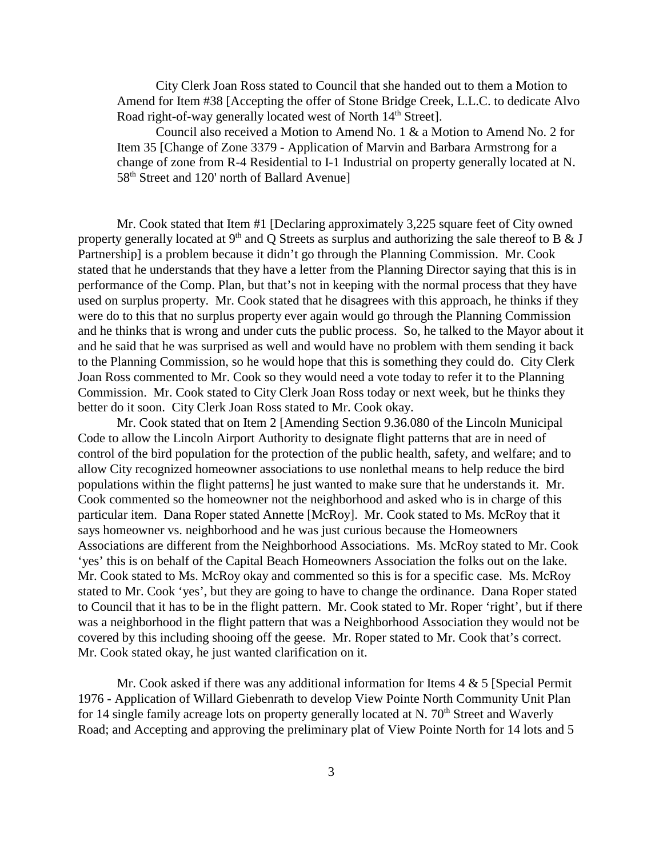City Clerk Joan Ross stated to Council that she handed out to them a Motion to Amend for Item #38 [Accepting the offer of Stone Bridge Creek, L.L.C. to dedicate Alvo Road right-of-way generally located west of North 14<sup>th</sup> Street].

Council also received a Motion to Amend No. 1 & a Motion to Amend No. 2 for Item 35 [Change of Zone 3379 - Application of Marvin and Barbara Armstrong for a change of zone from R-4 Residential to I-1 Industrial on property generally located at N. 58<sup>th</sup> Street and 120' north of Ballard Avenue]

Mr. Cook stated that Item #1 [Declaring approximately 3,225 square feet of City owned property generally located at  $9<sup>th</sup>$  and Q Streets as surplus and authorizing the sale thereof to B & J Partnership] is a problem because it didn't go through the Planning Commission. Mr. Cook stated that he understands that they have a letter from the Planning Director saying that this is in performance of the Comp. Plan, but that's not in keeping with the normal process that they have used on surplus property. Mr. Cook stated that he disagrees with this approach, he thinks if they were do to this that no surplus property ever again would go through the Planning Commission and he thinks that is wrong and under cuts the public process. So, he talked to the Mayor about it and he said that he was surprised as well and would have no problem with them sending it back to the Planning Commission, so he would hope that this is something they could do. City Clerk Joan Ross commented to Mr. Cook so they would need a vote today to refer it to the Planning Commission. Mr. Cook stated to City Clerk Joan Ross today or next week, but he thinks they better do it soon. City Clerk Joan Ross stated to Mr. Cook okay.

Mr. Cook stated that on Item 2 [Amending Section 9.36.080 of the Lincoln Municipal Code to allow the Lincoln Airport Authority to designate flight patterns that are in need of control of the bird population for the protection of the public health, safety, and welfare; and to allow City recognized homeowner associations to use nonlethal means to help reduce the bird populations within the flight patterns] he just wanted to make sure that he understands it. Mr. Cook commented so the homeowner not the neighborhood and asked who is in charge of this particular item. Dana Roper stated Annette [McRoy]. Mr. Cook stated to Ms. McRoy that it says homeowner vs. neighborhood and he was just curious because the Homeowners Associations are different from the Neighborhood Associations. Ms. McRoy stated to Mr. Cook 'yes' this is on behalf of the Capital Beach Homeowners Association the folks out on the lake. Mr. Cook stated to Ms. McRoy okay and commented so this is for a specific case. Ms. McRoy stated to Mr. Cook 'yes', but they are going to have to change the ordinance. Dana Roper stated to Council that it has to be in the flight pattern. Mr. Cook stated to Mr. Roper 'right', but if there was a neighborhood in the flight pattern that was a Neighborhood Association they would not be covered by this including shooing off the geese. Mr. Roper stated to Mr. Cook that's correct. Mr. Cook stated okay, he just wanted clarification on it.

Mr. Cook asked if there was any additional information for Items  $4 \& 5$  [Special Permit] 1976 - Application of Willard Giebenrath to develop View Pointe North Community Unit Plan for 14 single family acreage lots on property generally located at N.  $70<sup>th</sup>$  Street and Waverly Road; and Accepting and approving the preliminary plat of View Pointe North for 14 lots and 5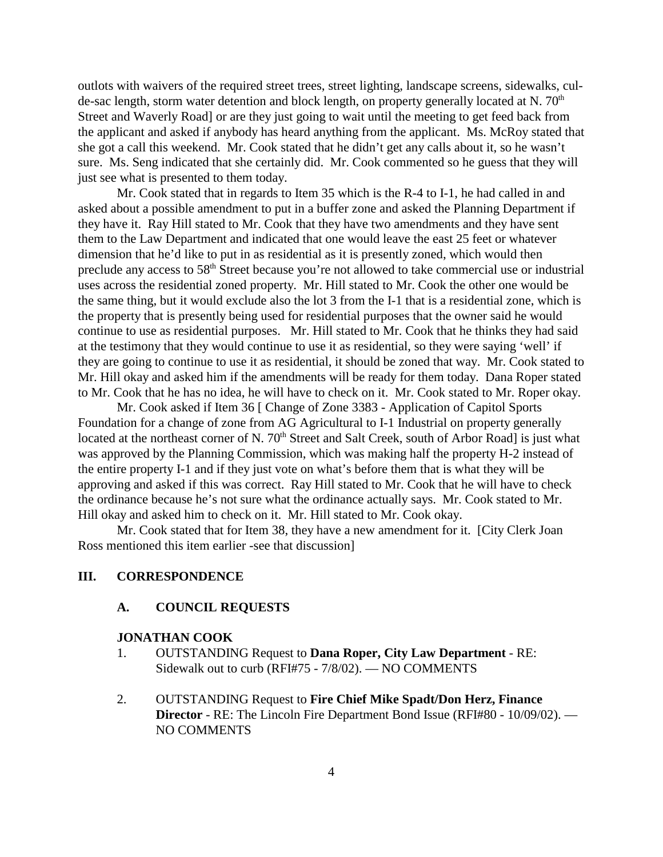outlots with waivers of the required street trees, street lighting, landscape screens, sidewalks, culde-sac length, storm water detention and block length, on property generally located at N.  $70<sup>th</sup>$ Street and Waverly Road] or are they just going to wait until the meeting to get feed back from the applicant and asked if anybody has heard anything from the applicant. Ms. McRoy stated that she got a call this weekend. Mr. Cook stated that he didn't get any calls about it, so he wasn't sure. Ms. Seng indicated that she certainly did. Mr. Cook commented so he guess that they will just see what is presented to them today.

Mr. Cook stated that in regards to Item 35 which is the R-4 to I-1, he had called in and asked about a possible amendment to put in a buffer zone and asked the Planning Department if they have it. Ray Hill stated to Mr. Cook that they have two amendments and they have sent them to the Law Department and indicated that one would leave the east 25 feet or whatever dimension that he'd like to put in as residential as it is presently zoned, which would then preclude any access to 58<sup>th</sup> Street because you're not allowed to take commercial use or industrial uses across the residential zoned property. Mr. Hill stated to Mr. Cook the other one would be the same thing, but it would exclude also the lot 3 from the I-1 that is a residential zone, which is the property that is presently being used for residential purposes that the owner said he would continue to use as residential purposes. Mr. Hill stated to Mr. Cook that he thinks they had said at the testimony that they would continue to use it as residential, so they were saying 'well' if they are going to continue to use it as residential, it should be zoned that way. Mr. Cook stated to Mr. Hill okay and asked him if the amendments will be ready for them today. Dana Roper stated to Mr. Cook that he has no idea, he will have to check on it. Mr. Cook stated to Mr. Roper okay.

Mr. Cook asked if Item 36 [ Change of Zone 3383 - Application of Capitol Sports Foundation for a change of zone from AG Agricultural to I-1 Industrial on property generally located at the northeast corner of N. 70<sup>th</sup> Street and Salt Creek, south of Arbor Road] is just what was approved by the Planning Commission, which was making half the property H-2 instead of the entire property I-1 and if they just vote on what's before them that is what they will be approving and asked if this was correct. Ray Hill stated to Mr. Cook that he will have to check the ordinance because he's not sure what the ordinance actually says. Mr. Cook stated to Mr. Hill okay and asked him to check on it. Mr. Hill stated to Mr. Cook okay.

Mr. Cook stated that for Item 38, they have a new amendment for it. [City Clerk Joan Ross mentioned this item earlier -see that discussion]

#### **III. CORRESPONDENCE**

#### **A. COUNCIL REQUESTS**

#### **JONATHAN COOK**

- 1. OUTSTANDING Request to **Dana Roper, City Law Department** RE: Sidewalk out to curb (RFI#75 - 7/8/02). — NO COMMENTS
- 2. OUTSTANDING Request to **Fire Chief Mike Spadt/Don Herz, Finance Director** - RE: The Lincoln Fire Department Bond Issue (RFI#80 - 10/09/02). — NO COMMENTS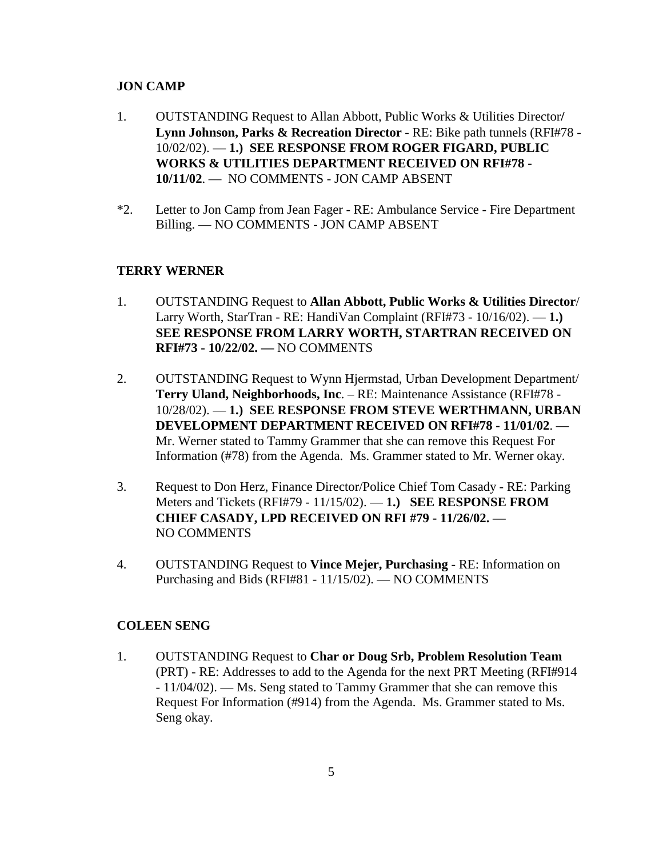#### **JON CAMP**

- 1. OUTSTANDING Request to Allan Abbott, Public Works & Utilities Director**/ Lynn Johnson, Parks & Recreation Director** - RE: Bike path tunnels (RFI#78 - 10/02/02). — **1.) SEE RESPONSE FROM ROGER FIGARD, PUBLIC WORKS & UTILITIES DEPARTMENT RECEIVED ON RFI#78 - 10/11/02**. — NO COMMENTS - JON CAMP ABSENT
- \*2. Letter to Jon Camp from Jean Fager RE: Ambulance Service Fire Department Billing. — NO COMMENTS - JON CAMP ABSENT

#### **TERRY WERNER**

- 1. OUTSTANDING Request to **Allan Abbott, Public Works & Utilities Director**/ Larry Worth, StarTran - RE: HandiVan Complaint (RFI#73 - 10/16/02). — **1.) SEE RESPONSE FROM LARRY WORTH, STARTRAN RECEIVED ON RFI#73 - 10/22/02. —** NO COMMENTS
- 2. OUTSTANDING Request to Wynn Hjermstad, Urban Development Department/ **Terry Uland, Neighborhoods, Inc**. – RE: Maintenance Assistance (RFI#78 - 10/28/02). — **1.) SEE RESPONSE FROM STEVE WERTHMANN, URBAN DEVELOPMENT DEPARTMENT RECEIVED ON RFI#78 - 11/01/02**. — Mr. Werner stated to Tammy Grammer that she can remove this Request For Information (#78) from the Agenda. Ms. Grammer stated to Mr. Werner okay.
- 3. Request to Don Herz, Finance Director/Police Chief Tom Casady RE: Parking Meters and Tickets (RFI#79 - 11/15/02). — **1.) SEE RESPONSE FROM CHIEF CASADY, LPD RECEIVED ON RFI #79 - 11/26/02. —**  NO COMMENTS
- 4. OUTSTANDING Request to **Vince Mejer, Purchasing** RE: Information on Purchasing and Bids (RFI#81 - 11/15/02). — NO COMMENTS

#### **COLEEN SENG**

1. OUTSTANDING Request to **Char or Doug Srb, Problem Resolution Team** (PRT) - RE: Addresses to add to the Agenda for the next PRT Meeting (RFI#914 - 11/04/02). — Ms. Seng stated to Tammy Grammer that she can remove this Request For Information (#914) from the Agenda. Ms. Grammer stated to Ms. Seng okay.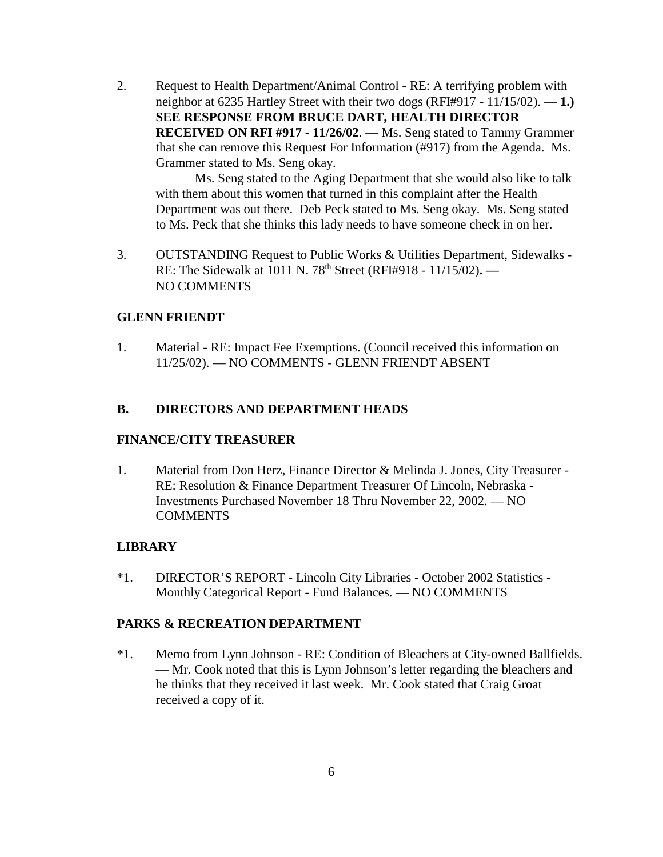2. Request to Health Department/Animal Control - RE: A terrifying problem with neighbor at 6235 Hartley Street with their two dogs (RFI#917 - 11/15/02). — **1.) SEE RESPONSE FROM BRUCE DART, HEALTH DIRECTOR RECEIVED ON RFI #917 - 11/26/02**. — Ms. Seng stated to Tammy Grammer that she can remove this Request For Information (#917) from the Agenda. Ms. Grammer stated to Ms. Seng okay.

Ms. Seng stated to the Aging Department that she would also like to talk with them about this women that turned in this complaint after the Health Department was out there. Deb Peck stated to Ms. Seng okay. Ms. Seng stated to Ms. Peck that she thinks this lady needs to have someone check in on her.

3. OUTSTANDING Request to Public Works & Utilities Department, Sidewalks - RE: The Sidewalk at 1011 N. 78th Street (RFI#918 - 11/15/02)**. —**  NO COMMENTS

#### **GLENN FRIENDT**

1. Material - RE: Impact Fee Exemptions. (Council received this information on 11/25/02). — NO COMMENTS - GLENN FRIENDT ABSENT

## **B. DIRECTORS AND DEPARTMENT HEADS**

#### **FINANCE/CITY TREASURER**

1. Material from Don Herz, Finance Director & Melinda J. Jones, City Treasurer - RE: Resolution & Finance Department Treasurer Of Lincoln, Nebraska - Investments Purchased November 18 Thru November 22, 2002. — NO **COMMENTS** 

#### **LIBRARY**

\*1. DIRECTOR'S REPORT - Lincoln City Libraries - October 2002 Statistics - Monthly Categorical Report - Fund Balances. — NO COMMENTS

#### **PARKS & RECREATION DEPARTMENT**

\*1. Memo from Lynn Johnson - RE: Condition of Bleachers at City-owned Ballfields. — Mr. Cook noted that this is Lynn Johnson's letter regarding the bleachers and he thinks that they received it last week. Mr. Cook stated that Craig Groat received a copy of it.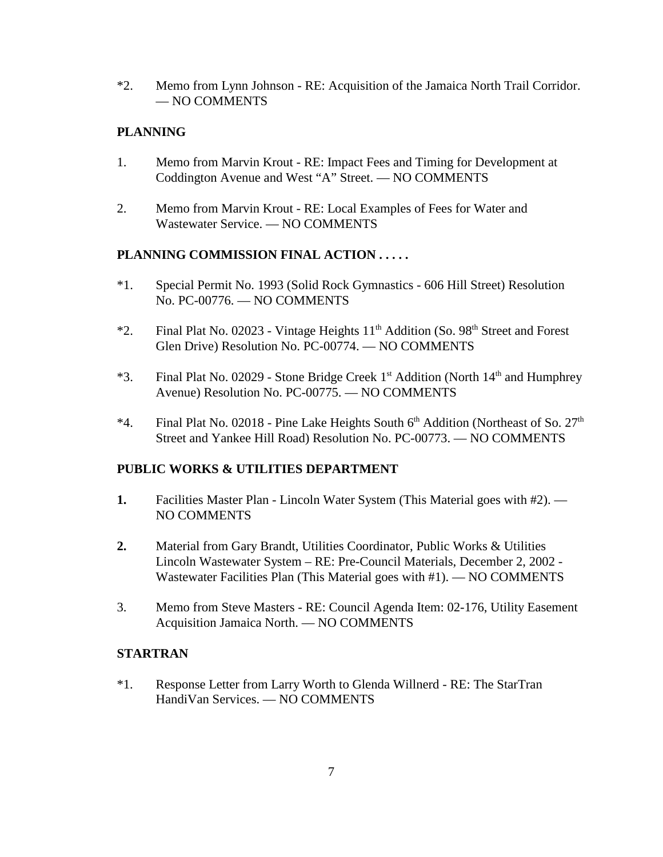\*2. Memo from Lynn Johnson - RE: Acquisition of the Jamaica North Trail Corridor. — NO COMMENTS

### **PLANNING**

- 1. Memo from Marvin Krout RE: Impact Fees and Timing for Development at Coddington Avenue and West "A" Street. — NO COMMENTS
- 2. Memo from Marvin Krout RE: Local Examples of Fees for Water and Wastewater Service. — NO COMMENTS

## **PLANNING COMMISSION FINAL ACTION . . . . .**

- \*1. Special Permit No. 1993 (Solid Rock Gymnastics 606 Hill Street) Resolution No. PC-00776. — NO COMMENTS
- \*2. Final Plat No. 02023 Vintage Heights  $11<sup>th</sup>$  Addition (So. 98<sup>th</sup> Street and Forest Glen Drive) Resolution No. PC-00774. — NO COMMENTS
- \*3. Final Plat No. 02029 Stone Bridge Creek  $1<sup>st</sup>$  Addition (North  $14<sup>th</sup>$  and Humphrey Avenue) Resolution No. PC-00775. — NO COMMENTS
- \*4. Final Plat No. 02018 Pine Lake Heights South  $6<sup>th</sup>$  Addition (Northeast of So.  $27<sup>th</sup>$ Street and Yankee Hill Road) Resolution No. PC-00773. — NO COMMENTS

#### **PUBLIC WORKS & UTILITIES DEPARTMENT**

- **1.** Facilities Master Plan Lincoln Water System (This Material goes with #2). NO COMMENTS
- **2.** Material from Gary Brandt, Utilities Coordinator, Public Works & Utilities Lincoln Wastewater System – RE: Pre-Council Materials, December 2, 2002 - Wastewater Facilities Plan (This Material goes with #1). — NO COMMENTS
- 3. Memo from Steve Masters RE: Council Agenda Item: 02-176, Utility Easement Acquisition Jamaica North. — NO COMMENTS

#### **STARTRAN**

\*1. Response Letter from Larry Worth to Glenda Willnerd - RE: The StarTran HandiVan Services. — NO COMMENTS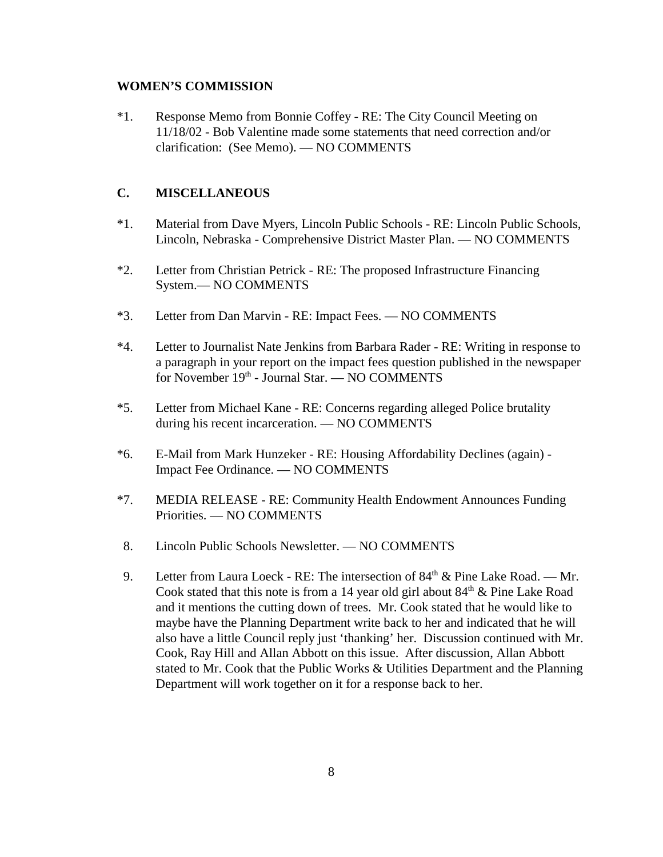#### **WOMEN'S COMMISSION**

\*1. Response Memo from Bonnie Coffey - RE: The City Council Meeting on 11/18/02 - Bob Valentine made some statements that need correction and/or clarification: (See Memo). — NO COMMENTS

#### **C. MISCELLANEOUS**

- \*1. Material from Dave Myers, Lincoln Public Schools RE: Lincoln Public Schools, Lincoln, Nebraska - Comprehensive District Master Plan. — NO COMMENTS
- \*2. Letter from Christian Petrick RE: The proposed Infrastructure Financing System.— NO COMMENTS
- \*3. Letter from Dan Marvin RE: Impact Fees. NO COMMENTS
- \*4. Letter to Journalist Nate Jenkins from Barbara Rader RE: Writing in response to a paragraph in your report on the impact fees question published in the newspaper for November  $19<sup>th</sup>$  - Journal Star. — NO COMMENTS
- \*5. Letter from Michael Kane RE: Concerns regarding alleged Police brutality during his recent incarceration. — NO COMMENTS
- \*6. E-Mail from Mark Hunzeker RE: Housing Affordability Declines (again) Impact Fee Ordinance. — NO COMMENTS
- \*7. MEDIA RELEASE RE: Community Health Endowment Announces Funding Priorities. — NO COMMENTS
- 8. Lincoln Public Schools Newsletter. NO COMMENTS
- 9. Letter from Laura Loeck RE: The intersection of  $84<sup>th</sup>$  & Pine Lake Road. Mr. Cook stated that this note is from a 14 year old girl about  $84<sup>th</sup>$  & Pine Lake Road and it mentions the cutting down of trees. Mr. Cook stated that he would like to maybe have the Planning Department write back to her and indicated that he will also have a little Council reply just 'thanking' her. Discussion continued with Mr. Cook, Ray Hill and Allan Abbott on this issue. After discussion, Allan Abbott stated to Mr. Cook that the Public Works & Utilities Department and the Planning Department will work together on it for a response back to her.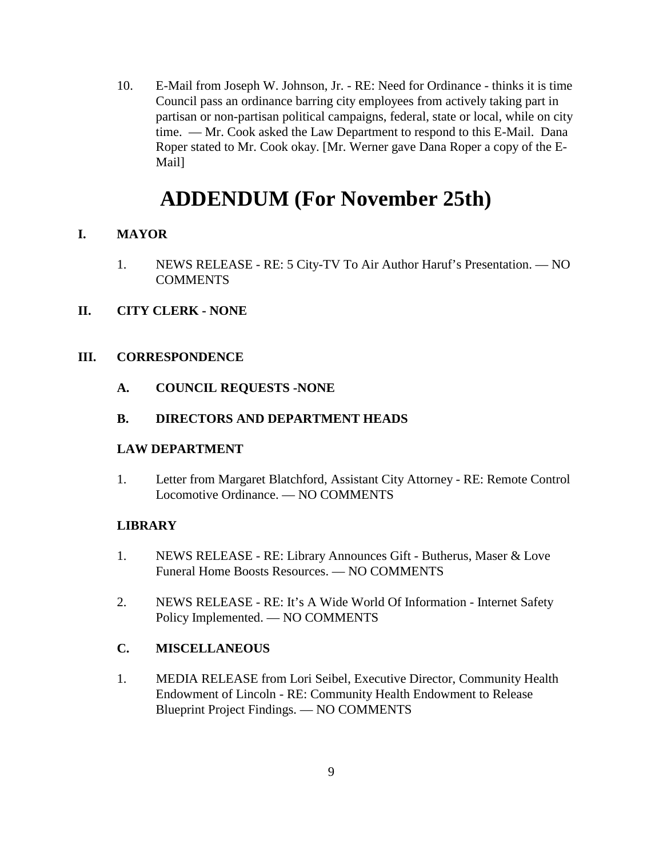10. E-Mail from Joseph W. Johnson, Jr. - RE: Need for Ordinance - thinks it is time Council pass an ordinance barring city employees from actively taking part in partisan or non-partisan political campaigns, federal, state or local, while on city time. — Mr. Cook asked the Law Department to respond to this E-Mail. Dana Roper stated to Mr. Cook okay. [Mr. Werner gave Dana Roper a copy of the E-Mail]

# **ADDENDUM (For November 25th)**

## **I. MAYOR**

- 1. NEWS RELEASE RE: 5 City-TV To Air Author Haruf's Presentation. NO **COMMENTS**
- **II. CITY CLERK NONE**

#### **III. CORRESPONDENCE**

**A. COUNCIL REQUESTS -NONE**

#### **B. DIRECTORS AND DEPARTMENT HEADS**

#### **LAW DEPARTMENT**

1. Letter from Margaret Blatchford, Assistant City Attorney - RE: Remote Control Locomotive Ordinance. — NO COMMENTS

#### **LIBRARY**

- 1. NEWS RELEASE RE: Library Announces Gift Butherus, Maser & Love Funeral Home Boosts Resources. — NO COMMENTS
- 2. NEWS RELEASE RE: It's A Wide World Of Information Internet Safety Policy Implemented. — NO COMMENTS

#### **C. MISCELLANEOUS**

1. MEDIA RELEASE from Lori Seibel, Executive Director, Community Health Endowment of Lincoln - RE: Community Health Endowment to Release Blueprint Project Findings. — NO COMMENTS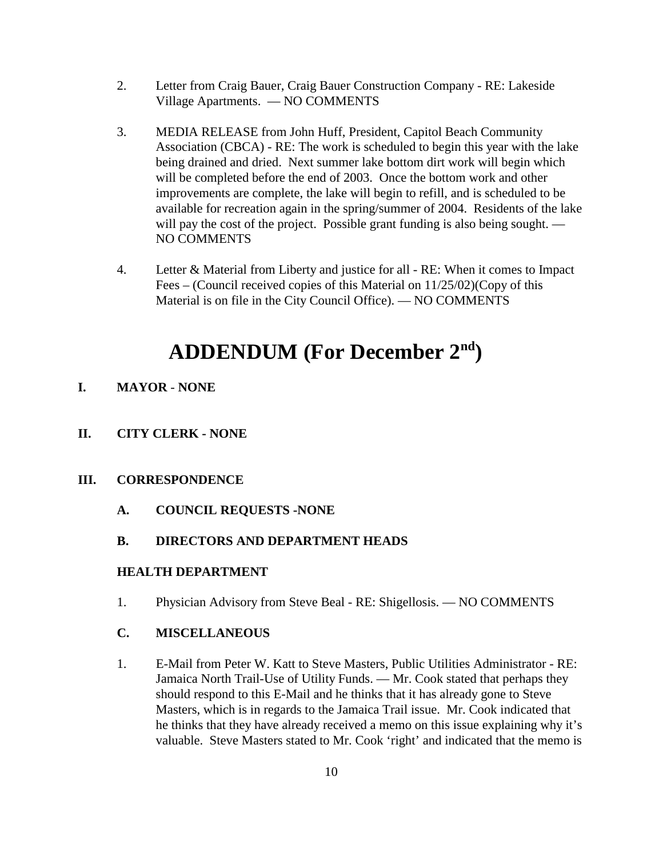- 2. Letter from Craig Bauer, Craig Bauer Construction Company RE: Lakeside Village Apartments. — NO COMMENTS
- 3. MEDIA RELEASE from John Huff, President, Capitol Beach Community Association (CBCA) - RE: The work is scheduled to begin this year with the lake being drained and dried. Next summer lake bottom dirt work will begin which will be completed before the end of 2003. Once the bottom work and other improvements are complete, the lake will begin to refill, and is scheduled to be available for recreation again in the spring/summer of 2004. Residents of the lake will pay the cost of the project. Possible grant funding is also being sought. — NO COMMENTS
- 4. Letter & Material from Liberty and justice for all RE: When it comes to Impact Fees – (Council received copies of this Material on 11/25/02)(Copy of this Material is on file in the City Council Office). — NO COMMENTS

# **ADDENDUM (For December 2nd)**

- **I. MAYOR NONE**
- **II. CITY CLERK NONE**
- **III. CORRESPONDENCE**
	- **A. COUNCIL REQUESTS -NONE**
	- **B. DIRECTORS AND DEPARTMENT HEADS**

#### **HEALTH DEPARTMENT**

1. Physician Advisory from Steve Beal - RE: Shigellosis. — NO COMMENTS

#### **C. MISCELLANEOUS**

1. E-Mail from Peter W. Katt to Steve Masters, Public Utilities Administrator - RE: Jamaica North Trail-Use of Utility Funds. — Mr. Cook stated that perhaps they should respond to this E-Mail and he thinks that it has already gone to Steve Masters, which is in regards to the Jamaica Trail issue. Mr. Cook indicated that he thinks that they have already received a memo on this issue explaining why it's valuable. Steve Masters stated to Mr. Cook 'right' and indicated that the memo is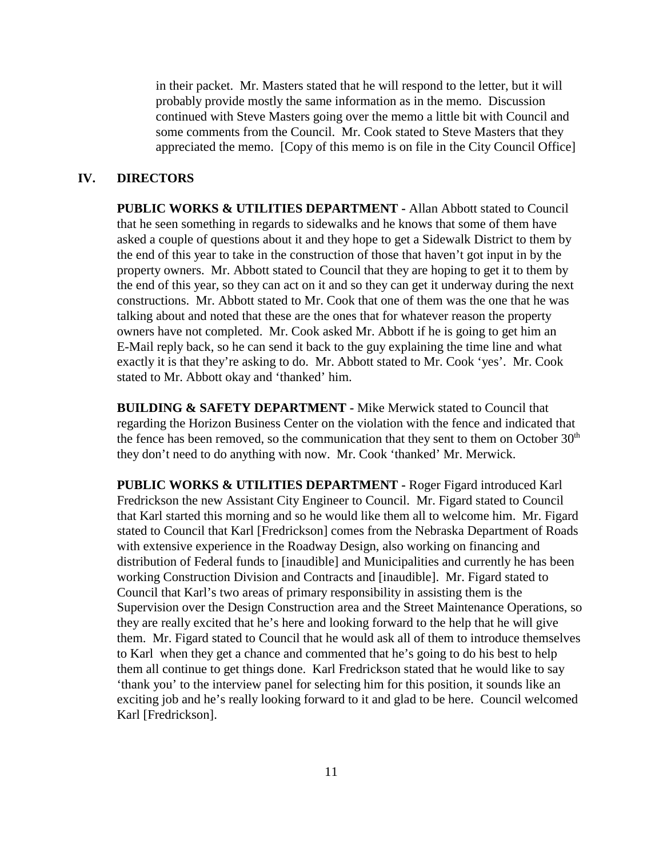in their packet. Mr. Masters stated that he will respond to the letter, but it will probably provide mostly the same information as in the memo. Discussion continued with Steve Masters going over the memo a little bit with Council and some comments from the Council. Mr. Cook stated to Steve Masters that they appreciated the memo. [Copy of this memo is on file in the City Council Office]

#### **IV. DIRECTORS**

**PUBLIC WORKS & UTILITIES DEPARTMENT -** Allan Abbott stated to Council that he seen something in regards to sidewalks and he knows that some of them have asked a couple of questions about it and they hope to get a Sidewalk District to them by the end of this year to take in the construction of those that haven't got input in by the property owners. Mr. Abbott stated to Council that they are hoping to get it to them by the end of this year, so they can act on it and so they can get it underway during the next constructions. Mr. Abbott stated to Mr. Cook that one of them was the one that he was talking about and noted that these are the ones that for whatever reason the property owners have not completed. Mr. Cook asked Mr. Abbott if he is going to get him an E-Mail reply back, so he can send it back to the guy explaining the time line and what exactly it is that they're asking to do. Mr. Abbott stated to Mr. Cook 'yes'. Mr. Cook stated to Mr. Abbott okay and 'thanked' him.

**BUILDING & SAFETY DEPARTMENT -** Mike Merwick stated to Council that regarding the Horizon Business Center on the violation with the fence and indicated that the fence has been removed, so the communication that they sent to them on October  $30<sup>th</sup>$ they don't need to do anything with now. Mr. Cook 'thanked' Mr. Merwick.

**PUBLIC WORKS & UTILITIES DEPARTMENT -** Roger Figard introduced Karl Fredrickson the new Assistant City Engineer to Council. Mr. Figard stated to Council that Karl started this morning and so he would like them all to welcome him. Mr. Figard stated to Council that Karl [Fredrickson] comes from the Nebraska Department of Roads with extensive experience in the Roadway Design, also working on financing and distribution of Federal funds to [inaudible] and Municipalities and currently he has been working Construction Division and Contracts and [inaudible]. Mr. Figard stated to Council that Karl's two areas of primary responsibility in assisting them is the Supervision over the Design Construction area and the Street Maintenance Operations, so they are really excited that he's here and looking forward to the help that he will give them. Mr. Figard stated to Council that he would ask all of them to introduce themselves to Karl when they get a chance and commented that he's going to do his best to help them all continue to get things done. Karl Fredrickson stated that he would like to say 'thank you' to the interview panel for selecting him for this position, it sounds like an exciting job and he's really looking forward to it and glad to be here. Council welcomed Karl [Fredrickson].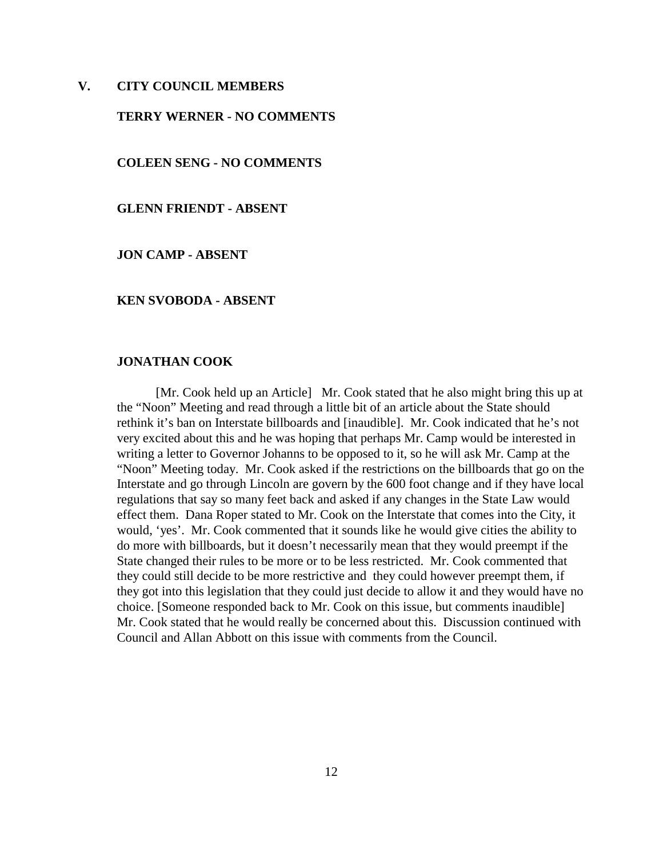#### **V. CITY COUNCIL MEMBERS**

#### **TERRY WERNER - NO COMMENTS**

**COLEEN SENG - NO COMMENTS**

**GLENN FRIENDT - ABSENT** 

**JON CAMP - ABSENT** 

#### **KEN SVOBODA - ABSENT**

#### **JONATHAN COOK**

[Mr. Cook held up an Article] Mr. Cook stated that he also might bring this up at the "Noon" Meeting and read through a little bit of an article about the State should rethink it's ban on Interstate billboards and [inaudible]. Mr. Cook indicated that he's not very excited about this and he was hoping that perhaps Mr. Camp would be interested in writing a letter to Governor Johanns to be opposed to it, so he will ask Mr. Camp at the "Noon" Meeting today. Mr. Cook asked if the restrictions on the billboards that go on the Interstate and go through Lincoln are govern by the 600 foot change and if they have local regulations that say so many feet back and asked if any changes in the State Law would effect them. Dana Roper stated to Mr. Cook on the Interstate that comes into the City, it would, 'yes'. Mr. Cook commented that it sounds like he would give cities the ability to do more with billboards, but it doesn't necessarily mean that they would preempt if the State changed their rules to be more or to be less restricted. Mr. Cook commented that they could still decide to be more restrictive and they could however preempt them, if they got into this legislation that they could just decide to allow it and they would have no choice. [Someone responded back to Mr. Cook on this issue, but comments inaudible] Mr. Cook stated that he would really be concerned about this. Discussion continued with Council and Allan Abbott on this issue with comments from the Council.